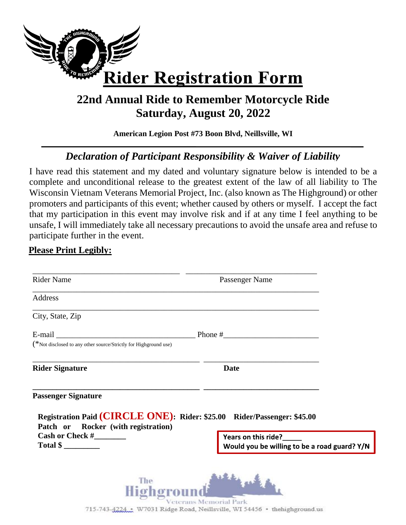

## **22nd Annual Ride to Remember Motorcycle Ride Saturday, August 20, 2022**

**American Legion Post #73 Boon Blvd, Neillsville, WI**

## *Declaration of Participant Responsibility & Waiver of Liability*

I have read this statement and my dated and voluntary signature below is intended to be a complete and unconditional release to the greatest extent of the law of all liability to The Wisconsin Vietnam Veterans Memorial Project, Inc. (also known as The Highground) or other promoters and participants of this event; whether caused by others or myself. I accept the fact that my participation in this event may involve risk and if at any time I feel anything to be unsafe, I will immediately take all necessary precautions to avoid the unsafe area and refuse to participate further in the event.

## **Please Print Legibly:**

| <b>Rider Name</b>                                                | Passenger Name                                                          |  |
|------------------------------------------------------------------|-------------------------------------------------------------------------|--|
| Address                                                          |                                                                         |  |
| City, State, Zip                                                 |                                                                         |  |
|                                                                  | E-mail $\Box$                                                           |  |
| (*Not disclosed to any other source/Strictly for Highground use) |                                                                         |  |
| <b>Rider Signature</b>                                           | <b>Date</b>                                                             |  |
|                                                                  |                                                                         |  |
| <b>Passenger Signature</b>                                       |                                                                         |  |
| Patch or Rocker (with registration)                              | Registration Paid (CIRCLE ONE): Rider: \$25.00 Rider/Passenger: \$45.00 |  |

715-743-4224 . W7031 Ridge Road, Neillsville, WI 54456 . the high ground us